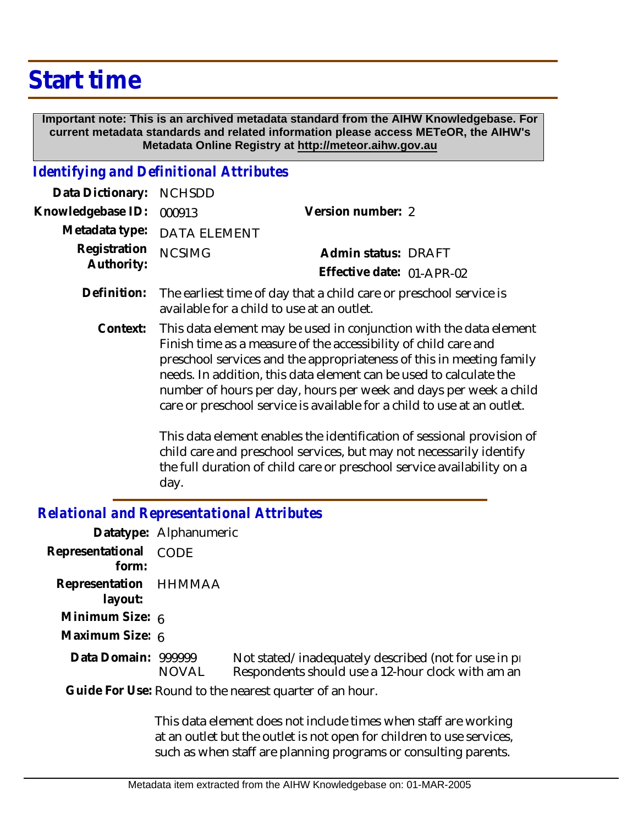## **Start time**

 **Important note: This is an archived metadata standard from the AIHW Knowledgebase. For current metadata standards and related information please access METeOR, the AIHW's Metadata Online Registry at http://meteor.aihw.gov.au**

## *Identifying and Definitional Attributes*

| Data Dictionary: NCHSDD  |                             |                           |  |
|--------------------------|-----------------------------|---------------------------|--|
| Knowledgebase ID: 000913 |                             | Version number: 2         |  |
|                          | Metadata type: DATA ELEMENT |                           |  |
| Registration NCSIMG      |                             | Admin status: DRAFT       |  |
| Authority:               |                             | Effective date: 01-APR-02 |  |
|                          |                             |                           |  |

- Definition: The earliest time of day that a child care or preschool service is available for a child to use at an outlet.
	- This data element may be used in conjunction with the data element Finish time as a measure of the accessibility of child care and preschool services and the appropriateness of this in meeting family needs. In addition, this data element can be used to calculate the number of hours per day, hours per week and days per week a child care or preschool service is available for a child to use at an outlet. **Context:**

This data element enables the identification of sessional provision of child care and preschool services, but may not necessarily identify the full duration of child care or preschool service availability on a day.

## *Relational and Representational Attributes*

| Datatype: Alphanumeric           |              |                                                                                                             |
|----------------------------------|--------------|-------------------------------------------------------------------------------------------------------------|
| Representational CODE<br>form:   |              |                                                                                                             |
| Representation HHMMAA<br>layout: |              |                                                                                                             |
| Minimum Size: 6                  |              |                                                                                                             |
| Maximum Size: 6                  |              |                                                                                                             |
| Data Domain: 999999              | <b>NOVAL</b> | Not stated/inadequately described (not for use in pro-<br>Respondents should use a 12-hour clock with am an |
|                                  |              | Guide For Use: Round to the nearest quarter of an hour.                                                     |

This data element does not include times when staff are working at an outlet but the outlet is not open for children to use services, such as when staff are planning programs or consulting parents.